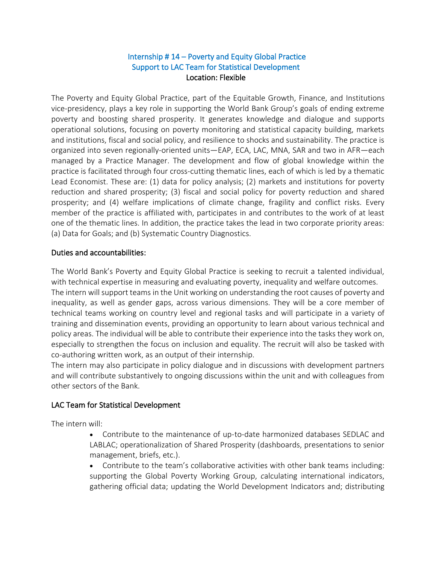## Internship # 14 – Poverty and Equity Global Practice Support to LAC Team for Statistical Development  Location: Flexible

The Poverty and Equity Global Practice, part of the Equitable Growth, Finance, and Institutions vice-presidency, plays a key role in supporting the World Bank Group's goals of ending extreme poverty and boosting shared prosperity. It generates knowledge and dialogue and supports operational solutions, focusing on poverty monitoring and statistical capacity building, markets and institutions, fiscal and social policy, and resilience to shocks and sustainability. The practice is organized into seven regionally-oriented units—EAP, ECA, LAC, MNA, SAR and two in AFR—each managed by a Practice Manager. The development and flow of global knowledge within the practice is facilitated through four cross-cutting thematic lines, each of which is led by a thematic Lead Economist. These are: (1) data for policy analysis; (2) markets and institutions for poverty reduction and shared prosperity; (3) fiscal and social policy for poverty reduction and shared prosperity; and (4) welfare implications of climate change, fragility and conflict risks. Every member of the practice is affiliated with, participates in and contributes to the work of at least one of the thematic lines. In addition, the practice takes the lead in two corporate priority areas: (a) Data for Goals; and (b) Systematic Country Diagnostics.

## Duties and accountabilities:

The World Bank's Poverty and Equity Global Practice is seeking to recruit a talented individual, with technical expertise in measuring and evaluating poverty, inequality and welfare outcomes. The intern will support teams in the Unit working on understanding the root causes of poverty and inequality, as well as gender gaps, across various dimensions. They will be a core member of technical teams working on country level and regional tasks and will participate in a variety of training and dissemination events, providing an opportunity to learn about various technical and policy areas. The individual will be able to contribute their experience into the tasks they work on, especially to strengthen the focus on inclusion and equality. The recruit will also be tasked with co-authoring written work, as an output of their internship.

The intern may also participate in policy dialogue and in discussions with development partners and will contribute substantively to ongoing discussions within the unit and with colleagues from other sectors of the Bank.

## LAC Team for Statistical Development

The intern will:

- Contribute to the maintenance of up-to-date harmonized databases SEDLAC and LABLAC; operationalization of Shared Prosperity (dashboards, presentations to senior management, briefs, etc.).
- Contribute to the team's collaborative activities with other bank teams including: supporting the Global Poverty Working Group, *c*alculating international indicators, gathering official data; updating the World Development Indicators and; distributing